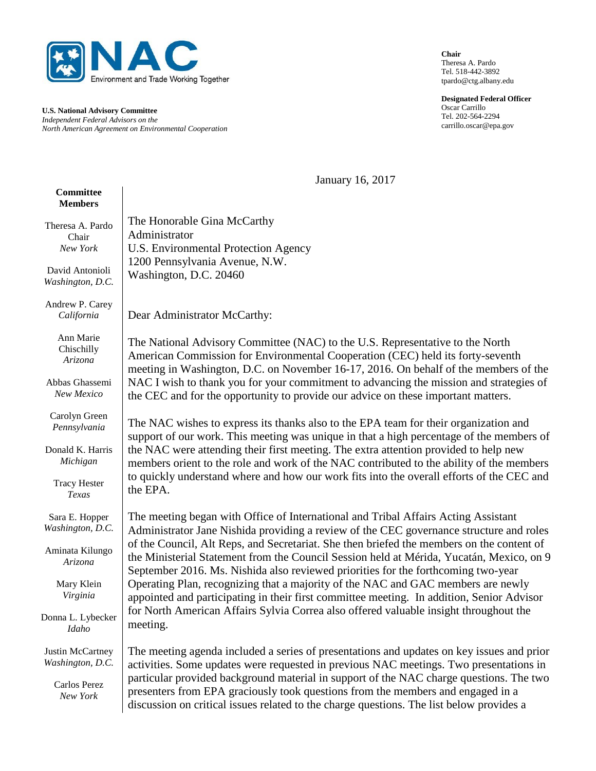

**U.S. National Advisory Committee** *Independent Federal Advisors on the North American Agreement on Environmental Cooperation* **Chair** Theresa A. Pardo Tel. 518-442-3892 tpardo@ctg.albany.edu

**Designated Federal Officer** Oscar Carrillo Tel. 202-564-2294 carrillo.oscar@epa.gov

January 16, 2017

#### **Committee Members**

| Theresa A. Pardo              | The Honorable Gina McCarthy                                                                                                                                                                                                                                                |
|-------------------------------|----------------------------------------------------------------------------------------------------------------------------------------------------------------------------------------------------------------------------------------------------------------------------|
| Chair                         | Administrator                                                                                                                                                                                                                                                              |
| New York                      | U.S. Environmental Protection Agency                                                                                                                                                                                                                                       |
| David Antonioli               | 1200 Pennsylvania Avenue, N.W.                                                                                                                                                                                                                                             |
| Washington, D.C.              | Washington, D.C. 20460                                                                                                                                                                                                                                                     |
| Andrew P. Carey<br>California | Dear Administrator McCarthy:                                                                                                                                                                                                                                               |
| Ann Marie                     | The National Advisory Committee (NAC) to the U.S. Representative to the North                                                                                                                                                                                              |
| Chischilly                    | American Commission for Environmental Cooperation (CEC) held its forty-seventh                                                                                                                                                                                             |
| Arizona                       | meeting in Washington, D.C. on November 16-17, 2016. On behalf of the members of the                                                                                                                                                                                       |
| Abbas Ghassemi                | NAC I wish to thank you for your commitment to advancing the mission and strategies of                                                                                                                                                                                     |
| New Mexico                    | the CEC and for the opportunity to provide our advice on these important matters.                                                                                                                                                                                          |
| Carolyn Green                 | The NAC wishes to express its thanks also to the EPA team for their organization and                                                                                                                                                                                       |
| Pennsylvania                  | support of our work. This meeting was unique in that a high percentage of the members of                                                                                                                                                                                   |
| Donald K. Harris              | the NAC were attending their first meeting. The extra attention provided to help new                                                                                                                                                                                       |
| Michigan                      | members orient to the role and work of the NAC contributed to the ability of the members                                                                                                                                                                                   |
| <b>Tracy Hester</b>           | to quickly understand where and how our work fits into the overall efforts of the CEC and                                                                                                                                                                                  |
| Texas                         | the EPA.                                                                                                                                                                                                                                                                   |
| Sara E. Hopper                | The meeting began with Office of International and Tribal Affairs Acting Assistant                                                                                                                                                                                         |
| Washington, D.C.              | Administrator Jane Nishida providing a review of the CEC governance structure and roles                                                                                                                                                                                    |
| Aminata Kilungo<br>Arizona    | of the Council, Alt Reps, and Secretariat. She then briefed the members on the content of<br>the Ministerial Statement from the Council Session held at Mérida, Yucatán, Mexico, on 9<br>September 2016. Ms. Nishida also reviewed priorities for the forthcoming two-year |
| Mary Klein                    | Operating Plan, recognizing that a majority of the NAC and GAC members are newly                                                                                                                                                                                           |
| Virginia                      | appointed and participating in their first committee meeting. In addition, Senior Advisor                                                                                                                                                                                  |
| Donna L. Lybecker             | for North American Affairs Sylvia Correa also offered valuable insight throughout the                                                                                                                                                                                      |
| Idaho                         | meeting.                                                                                                                                                                                                                                                                   |
| <b>Justin McCartney</b>       | The meeting agenda included a series of presentations and updates on key issues and prior                                                                                                                                                                                  |
| Washington, D.C.              | activities. Some updates were requested in previous NAC meetings. Two presentations in                                                                                                                                                                                     |
| Carlos Perez<br>New York      | particular provided background material in support of the NAC charge questions. The two<br>presenters from EPA graciously took questions from the members and engaged in a<br>discussion on critical issues related to the charge questions. The list below provides a     |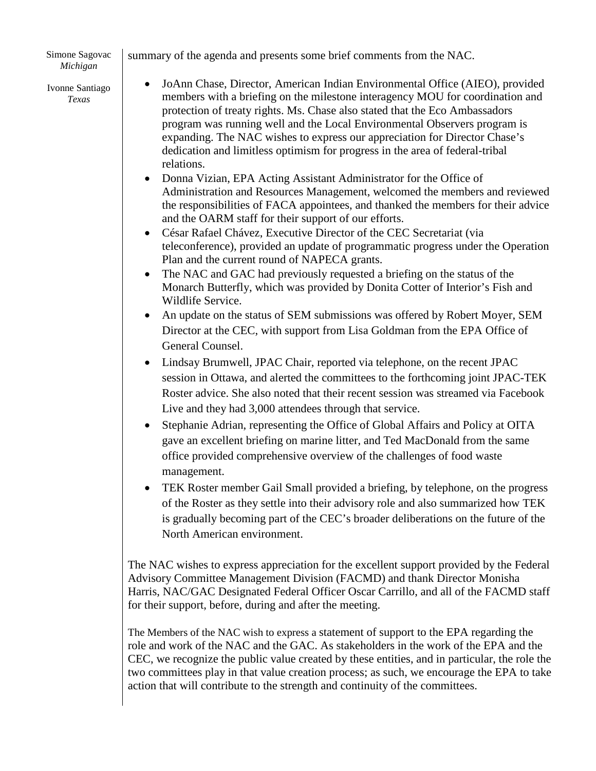Simone Sagovac *Michigan*

summary of the agenda and presents some brief comments from the NAC.

Ivonne Santiago *Texas* 

- JoAnn Chase, Director, American Indian Environmental Office (AIEO), provided members with a briefing on the milestone interagency MOU for coordination and protection of treaty rights. Ms. Chase also stated that the Eco Ambassadors program was running well and the Local Environmental Observers program is expanding. The NAC wishes to express our appreciation for Director Chase's dedication and limitless optimism for progress in the area of federal-tribal relations.
- Donna Vizian, EPA Acting Assistant Administrator for the Office of Administration and Resources Management, welcomed the members and reviewed the responsibilities of FACA appointees, and thanked the members for their advice and the OARM staff for their support of our efforts.
- César Rafael Chávez, Executive Director of the CEC Secretariat (via teleconference), provided an update of programmatic progress under the Operation Plan and the current round of NAPECA grants.
- The NAC and GAC had previously requested a briefing on the status of the Monarch Butterfly, which was provided by Donita Cotter of Interior's Fish and Wildlife Service.
- An update on the status of SEM submissions was offered by Robert Moyer, SEM Director at the CEC, with support from Lisa Goldman from the EPA Office of General Counsel.
- Lindsay Brumwell, JPAC Chair, reported via telephone, on the recent JPAC session in Ottawa, and alerted the committees to the forthcoming joint JPAC-TEK Roster advice. She also noted that their recent session was streamed via Facebook Live and they had 3,000 attendees through that service.
- Stephanie Adrian, representing the Office of Global Affairs and Policy at OITA gave an excellent briefing on marine litter, and Ted MacDonald from the same office provided comprehensive overview of the challenges of food waste management.
- TEK Roster member Gail Small provided a briefing, by telephone, on the progress of the Roster as they settle into their advisory role and also summarized how TEK is gradually becoming part of the CEC's broader deliberations on the future of the North American environment.

The NAC wishes to express appreciation for the excellent support provided by the Federal Advisory Committee Management Division (FACMD) and thank Director Monisha Harris, NAC/GAC Designated Federal Officer Oscar Carrillo, and all of the FACMD staff for their support, before, during and after the meeting.

The Members of the NAC wish to express a statement of support to the EPA regarding the role and work of the NAC and the GAC. As stakeholders in the work of the EPA and the CEC, we recognize the public value created by these entities, and in particular, the role the two committees play in that value creation process; as such, we encourage the EPA to take action that will contribute to the strength and continuity of the committees.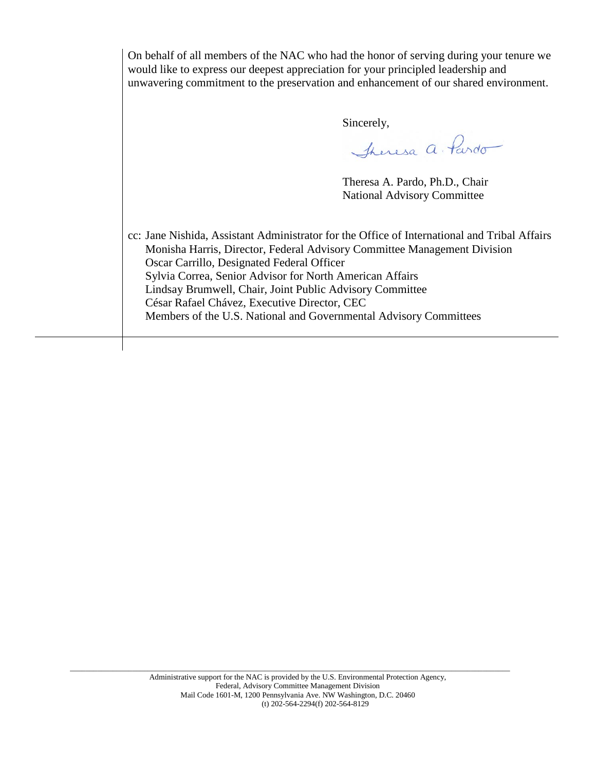| On behalf of all members of the NAC who had the honor of serving during your tenure we<br>would like to express our deepest appreciation for your principled leadership and<br>unwavering commitment to the preservation and enhancement of our shared environment.                                                                                                                                                                                                 |                                    |  |
|---------------------------------------------------------------------------------------------------------------------------------------------------------------------------------------------------------------------------------------------------------------------------------------------------------------------------------------------------------------------------------------------------------------------------------------------------------------------|------------------------------------|--|
|                                                                                                                                                                                                                                                                                                                                                                                                                                                                     | Sincerely,                         |  |
|                                                                                                                                                                                                                                                                                                                                                                                                                                                                     | Theresa a. Pardo                   |  |
|                                                                                                                                                                                                                                                                                                                                                                                                                                                                     | Theresa A. Pardo, Ph.D., Chair     |  |
|                                                                                                                                                                                                                                                                                                                                                                                                                                                                     | <b>National Advisory Committee</b> |  |
| cc: Jane Nishida, Assistant Administrator for the Office of International and Tribal Affairs<br>Monisha Harris, Director, Federal Advisory Committee Management Division<br>Oscar Carrillo, Designated Federal Officer<br>Sylvia Correa, Senior Advisor for North American Affairs<br>Lindsay Brumwell, Chair, Joint Public Advisory Committee<br>César Rafael Chávez, Executive Director, CEC<br>Members of the U.S. National and Governmental Advisory Committees |                                    |  |

\_\_\_\_\_\_\_\_\_\_\_\_\_\_\_\_\_\_\_\_\_\_\_\_\_\_\_\_\_\_\_\_\_\_\_\_\_\_\_\_\_\_\_\_\_\_\_\_\_\_\_\_\_\_\_\_\_\_\_\_\_\_\_\_\_\_\_\_\_\_\_\_\_\_\_\_\_\_\_\_\_\_\_\_\_\_\_\_\_\_\_\_\_\_\_\_\_\_\_\_\_\_\_\_\_\_\_\_\_\_\_\_\_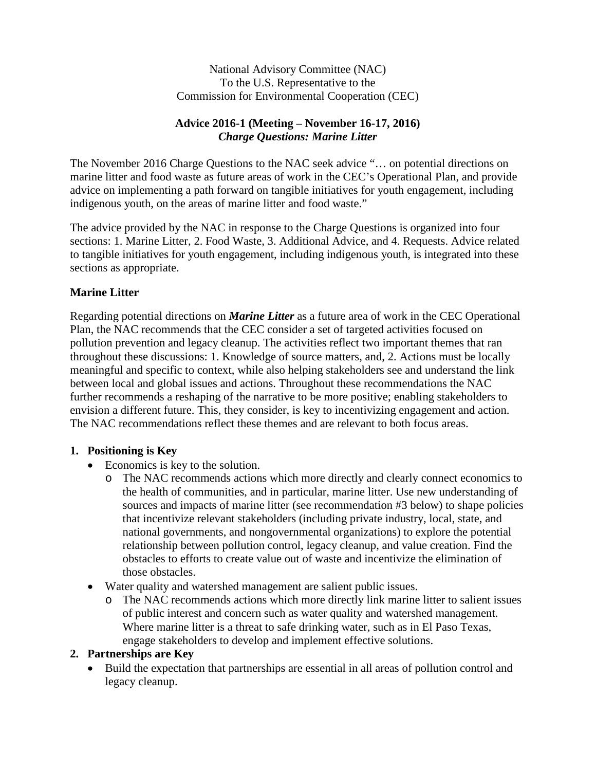National Advisory Committee (NAC) To the U.S. Representative to the Commission for Environmental Cooperation (CEC)

#### **Advice 2016-1 (Meeting – November 16-17, 2016)** *Charge Questions: Marine Litter*

The November 2016 Charge Questions to the NAC seek advice "… on potential directions on marine litter and food waste as future areas of work in the CEC's Operational Plan, and provide advice on implementing a path forward on tangible initiatives for youth engagement, including indigenous youth, on the areas of marine litter and food waste."

The advice provided by the NAC in response to the Charge Questions is organized into four sections: 1. Marine Litter, 2. Food Waste, 3. Additional Advice, and 4. Requests. Advice related to tangible initiatives for youth engagement, including indigenous youth, is integrated into these sections as appropriate.

### **Marine Litter**

Regarding potential directions on *Marine Litter* as a future area of work in the CEC Operational Plan, the NAC recommends that the CEC consider a set of targeted activities focused on pollution prevention and legacy cleanup. The activities reflect two important themes that ran throughout these discussions: 1. Knowledge of source matters, and, 2. Actions must be locally meaningful and specific to context, while also helping stakeholders see and understand the link between local and global issues and actions. Throughout these recommendations the NAC further recommends a reshaping of the narrative to be more positive; enabling stakeholders to envision a different future. This, they consider, is key to incentivizing engagement and action. The NAC recommendations reflect these themes and are relevant to both focus areas.

#### **1. Positioning is Key**

- Economics is key to the solution.
	- o The NAC recommends actions which more directly and clearly connect economics to the health of communities, and in particular, marine litter. Use new understanding of sources and impacts of marine litter (see recommendation #3 below) to shape policies that incentivize relevant stakeholders (including private industry, local, state, and national governments, and nongovernmental organizations) to explore the potential relationship between pollution control, legacy cleanup, and value creation. Find the obstacles to efforts to create value out of waste and incentivize the elimination of those obstacles.
- Water quality and watershed management are salient public issues.
	- o The NAC recommends actions which more directly link marine litter to salient issues of public interest and concern such as water quality and watershed management. Where marine litter is a threat to safe drinking water, such as in El Paso Texas, engage stakeholders to develop and implement effective solutions.

#### **2. Partnerships are Key**

• Build the expectation that partnerships are essential in all areas of pollution control and legacy cleanup.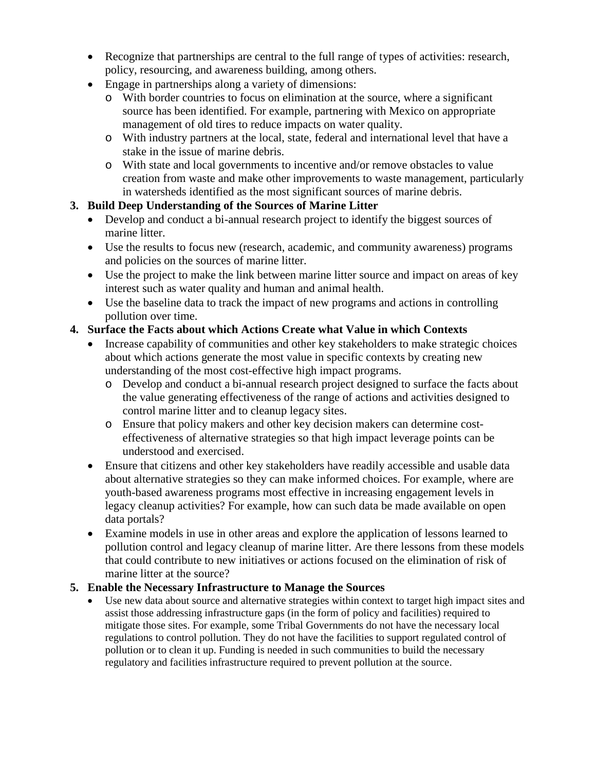- Recognize that partnerships are central to the full range of types of activities: research, policy, resourcing, and awareness building, among others.
- Engage in partnerships along a variety of dimensions:
	- o With border countries to focus on elimination at the source, where a significant source has been identified. For example, partnering with Mexico on appropriate management of old tires to reduce impacts on water quality.
	- o With industry partners at the local, state, federal and international level that have a stake in the issue of marine debris.
	- o With state and local governments to incentive and/or remove obstacles to value creation from waste and make other improvements to waste management, particularly in watersheds identified as the most significant sources of marine debris.

### **3. Build Deep Understanding of the Sources of Marine Litter**

- Develop and conduct a bi-annual research project to identify the biggest sources of marine litter.
- Use the results to focus new (research, academic, and community awareness) programs and policies on the sources of marine litter.
- Use the project to make the link between marine litter source and impact on areas of key interest such as water quality and human and animal health.
- Use the baseline data to track the impact of new programs and actions in controlling pollution over time.

### **4. Surface the Facts about which Actions Create what Value in which Contexts**

- Increase capability of communities and other key stakeholders to make strategic choices about which actions generate the most value in specific contexts by creating new understanding of the most cost-effective high impact programs.
	- o Develop and conduct a bi-annual research project designed to surface the facts about the value generating effectiveness of the range of actions and activities designed to control marine litter and to cleanup legacy sites.
	- o Ensure that policy makers and other key decision makers can determine costeffectiveness of alternative strategies so that high impact leverage points can be understood and exercised.
- Ensure that citizens and other key stakeholders have readily accessible and usable data about alternative strategies so they can make informed choices. For example, where are youth-based awareness programs most effective in increasing engagement levels in legacy cleanup activities? For example, how can such data be made available on open data portals?
- Examine models in use in other areas and explore the application of lessons learned to pollution control and legacy cleanup of marine litter. Are there lessons from these models that could contribute to new initiatives or actions focused on the elimination of risk of marine litter at the source?

#### **5. Enable the Necessary Infrastructure to Manage the Sources**

Use new data about source and alternative strategies within context to target high impact sites and assist those addressing infrastructure gaps (in the form of policy and facilities) required to mitigate those sites. For example, some Tribal Governments do not have the necessary local regulations to control pollution. They do not have the facilities to support regulated control of pollution or to clean it up. Funding is needed in such communities to build the necessary regulatory and facilities infrastructure required to prevent pollution at the source.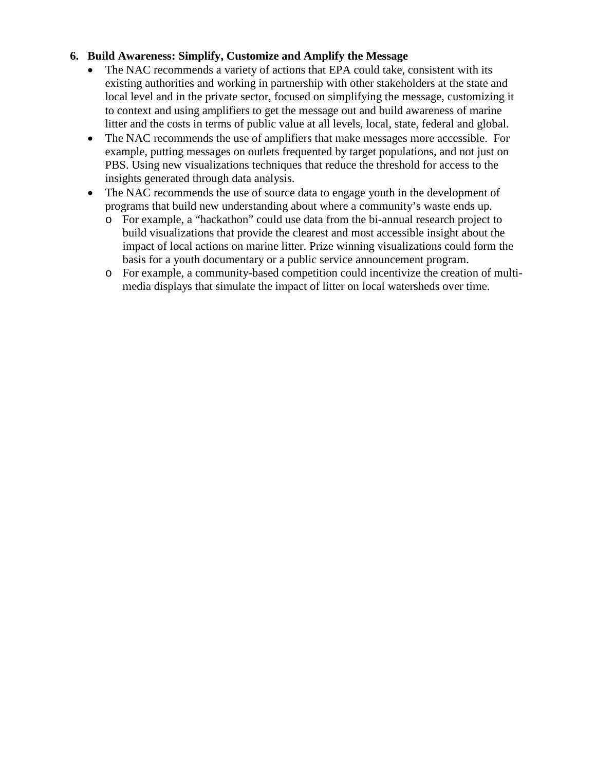## **6. Build Awareness: Simplify, Customize and Amplify the Message**

- The NAC recommends a variety of actions that EPA could take, consistent with its existing authorities and working in partnership with other stakeholders at the state and local level and in the private sector, focused on simplifying the message, customizing it to context and using amplifiers to get the message out and build awareness of marine litter and the costs in terms of public value at all levels, local, state, federal and global.
- The NAC recommends the use of amplifiers that make messages more accessible. For example, putting messages on outlets frequented by target populations, and not just on PBS. Using new visualizations techniques that reduce the threshold for access to the insights generated through data analysis.
- The NAC recommends the use of source data to engage youth in the development of programs that build new understanding about where a community's waste ends up.
	- o For example, a "hackathon" could use data from the bi-annual research project to build visualizations that provide the clearest and most accessible insight about the impact of local actions on marine litter. Prize winning visualizations could form the basis for a youth documentary or a public service announcement program.
	- o For example, a community-based competition could incentivize the creation of multimedia displays that simulate the impact of litter on local watersheds over time.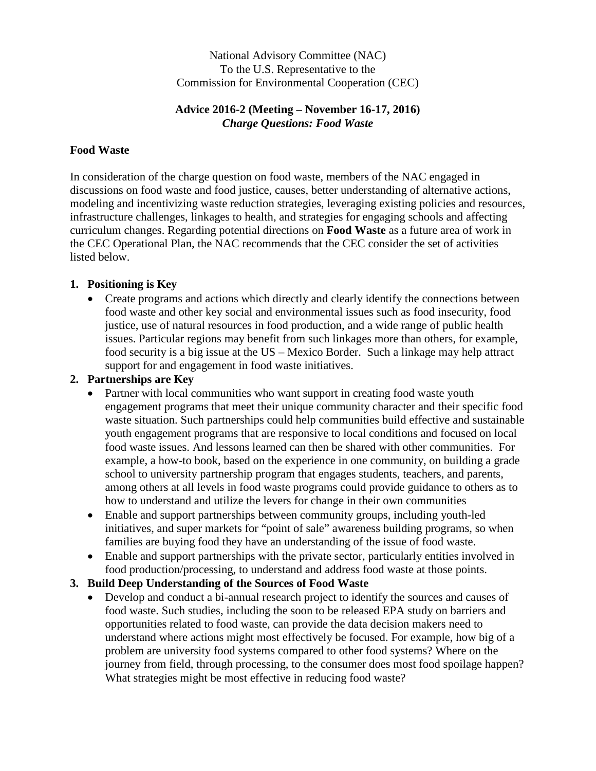National Advisory Committee (NAC) To the U.S. Representative to the Commission for Environmental Cooperation (CEC)

### **Advice 2016-2 (Meeting – November 16-17, 2016)** *Charge Questions: Food Waste*

#### **Food Waste**

In consideration of the charge question on food waste, members of the NAC engaged in discussions on food waste and food justice, causes, better understanding of alternative actions, modeling and incentivizing waste reduction strategies, leveraging existing policies and resources, infrastructure challenges, linkages to health, and strategies for engaging schools and affecting curriculum changes. Regarding potential directions on **Food Waste** as a future area of work in the CEC Operational Plan, the NAC recommends that the CEC consider the set of activities listed below.

### **1. Positioning is Key**

• Create programs and actions which directly and clearly identify the connections between food waste and other key social and environmental issues such as food insecurity, food justice, use of natural resources in food production, and a wide range of public health issues. Particular regions may benefit from such linkages more than others, for example, food security is a big issue at the US – Mexico Border. Such a linkage may help attract support for and engagement in food waste initiatives.

### **2. Partnerships are Key**

- Partner with local communities who want support in creating food waste youth engagement programs that meet their unique community character and their specific food waste situation. Such partnerships could help communities build effective and sustainable youth engagement programs that are responsive to local conditions and focused on local food waste issues. And lessons learned can then be shared with other communities. For example, a how-to book, based on the experience in one community, on building a grade school to university partnership program that engages students, teachers, and parents, among others at all levels in food waste programs could provide guidance to others as to how to understand and utilize the levers for change in their own communities
- Enable and support partnerships between community groups, including youth-led initiatives, and super markets for "point of sale" awareness building programs, so when families are buying food they have an understanding of the issue of food waste.
- Enable and support partnerships with the private sector, particularly entities involved in food production/processing, to understand and address food waste at those points.

# **3. Build Deep Understanding of the Sources of Food Waste**

• Develop and conduct a bi-annual research project to identify the sources and causes of food waste. Such studies, including the soon to be released EPA study on barriers and opportunities related to food waste, can provide the data decision makers need to understand where actions might most effectively be focused. For example, how big of a problem are university food systems compared to other food systems? Where on the journey from field, through processing, to the consumer does most food spoilage happen? What strategies might be most effective in reducing food waste?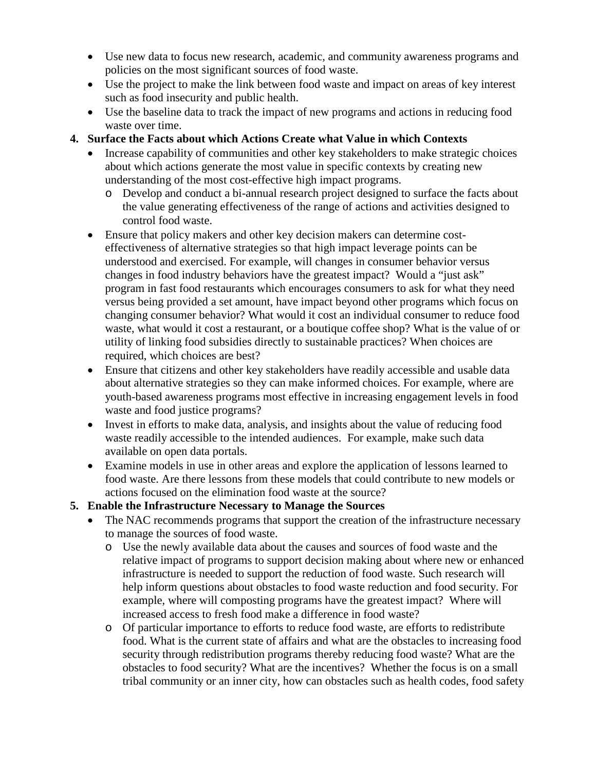- Use new data to focus new research, academic, and community awareness programs and policies on the most significant sources of food waste.
- Use the project to make the link between food waste and impact on areas of key interest such as food insecurity and public health.
- Use the baseline data to track the impact of new programs and actions in reducing food waste over time.

## **4. Surface the Facts about which Actions Create what Value in which Contexts**

- Increase capability of communities and other key stakeholders to make strategic choices about which actions generate the most value in specific contexts by creating new understanding of the most cost-effective high impact programs.
	- o Develop and conduct a bi-annual research project designed to surface the facts about the value generating effectiveness of the range of actions and activities designed to control food waste.
- Ensure that policy makers and other key decision makers can determine costeffectiveness of alternative strategies so that high impact leverage points can be understood and exercised. For example, will changes in consumer behavior versus changes in food industry behaviors have the greatest impact? Would a "just ask" program in fast food restaurants which encourages consumers to ask for what they need versus being provided a set amount, have impact beyond other programs which focus on changing consumer behavior? What would it cost an individual consumer to reduce food waste, what would it cost a restaurant, or a boutique coffee shop? What is the value of or utility of linking food subsidies directly to sustainable practices? When choices are required, which choices are best?
- Ensure that citizens and other key stakeholders have readily accessible and usable data about alternative strategies so they can make informed choices. For example, where are youth-based awareness programs most effective in increasing engagement levels in food waste and food justice programs?
- Invest in efforts to make data, analysis, and insights about the value of reducing food waste readily accessible to the intended audiences. For example, make such data available on open data portals.
- Examine models in use in other areas and explore the application of lessons learned to food waste. Are there lessons from these models that could contribute to new models or actions focused on the elimination food waste at the source?

# **5. Enable the Infrastructure Necessary to Manage the Sources**

- The NAC recommends programs that support the creation of the infrastructure necessary to manage the sources of food waste.
	- o Use the newly available data about the causes and sources of food waste and the relative impact of programs to support decision making about where new or enhanced infrastructure is needed to support the reduction of food waste. Such research will help inform questions about obstacles to food waste reduction and food security. For example, where will composting programs have the greatest impact? Where will increased access to fresh food make a difference in food waste?
	- o Of particular importance to efforts to reduce food waste, are efforts to redistribute food. What is the current state of affairs and what are the obstacles to increasing food security through redistribution programs thereby reducing food waste? What are the obstacles to food security? What are the incentives? Whether the focus is on a small tribal community or an inner city, how can obstacles such as health codes, food safety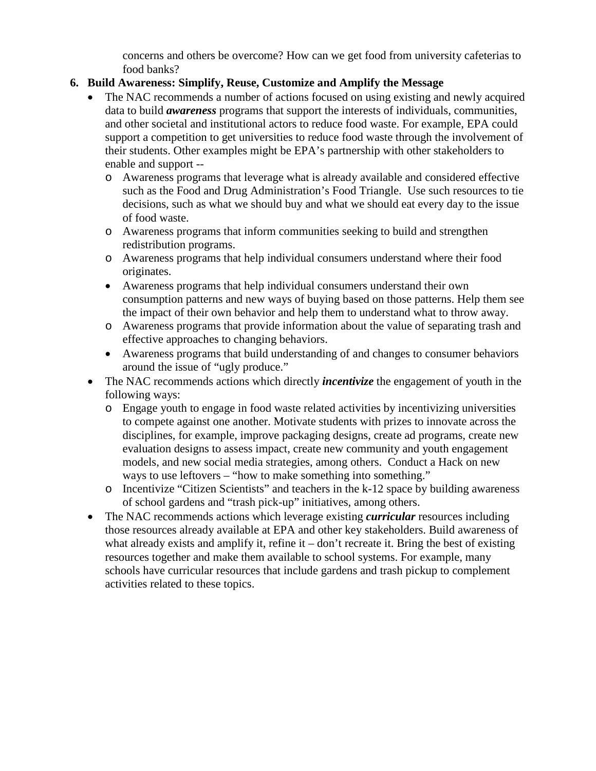concerns and others be overcome? How can we get food from university cafeterias to food banks?

## **6. Build Awareness: Simplify, Reuse, Customize and Amplify the Message**

- The NAC recommends a number of actions focused on using existing and newly acquired data to build *awareness* programs that support the interests of individuals, communities, and other societal and institutional actors to reduce food waste. For example, EPA could support a competition to get universities to reduce food waste through the involvement of their students. Other examples might be EPA's partnership with other stakeholders to enable and support -
	- o Awareness programs that leverage what is already available and considered effective such as the Food and Drug Administration's Food Triangle. Use such resources to tie decisions, such as what we should buy and what we should eat every day to the issue of food waste.
	- o Awareness programs that inform communities seeking to build and strengthen redistribution programs.
	- o Awareness programs that help individual consumers understand where their food originates.
	- Awareness programs that help individual consumers understand their own consumption patterns and new ways of buying based on those patterns. Help them see the impact of their own behavior and help them to understand what to throw away.
	- o Awareness programs that provide information about the value of separating trash and effective approaches to changing behaviors.
	- Awareness programs that build understanding of and changes to consumer behaviors around the issue of "ugly produce."
- The NAC recommends actions which directly *incentivize* the engagement of youth in the following ways:
	- o Engage youth to engage in food waste related activities by incentivizing universities to compete against one another. Motivate students with prizes to innovate across the disciplines, for example, improve packaging designs, create ad programs, create new evaluation designs to assess impact, create new community and youth engagement models, and new social media strategies, among others. Conduct a Hack on new ways to use leftovers – "how to make something into something."
	- o Incentivize "Citizen Scientists" and teachers in the k-12 space by building awareness of school gardens and "trash pick-up" initiatives, among others.
- The NAC recommends actions which leverage existing *curricular* resources including those resources already available at EPA and other key stakeholders. Build awareness of what already exists and amplify it, refine it – don't recreate it. Bring the best of existing resources together and make them available to school systems. For example, many schools have curricular resources that include gardens and trash pickup to complement activities related to these topics.